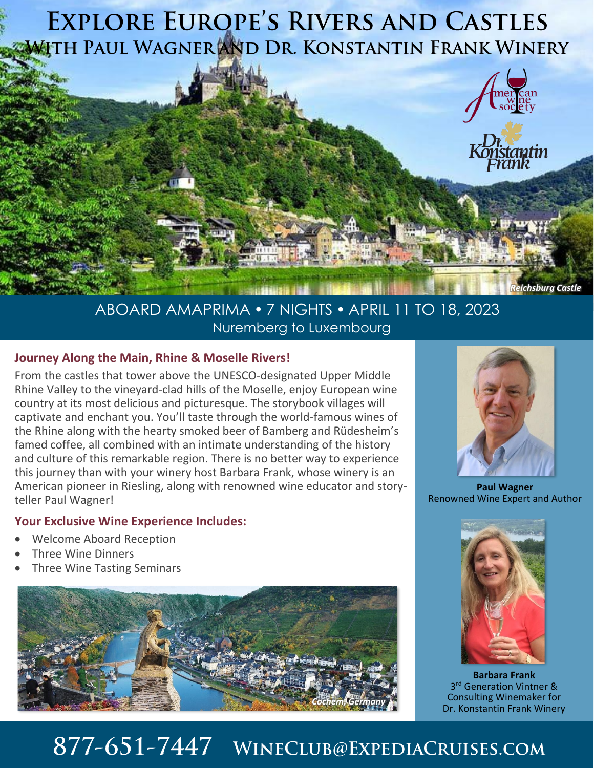

### ABOARD AMAPRIMA 7 NIGHTS APRIL 11 TO 18, 2023 Nuremberg to Luxembourg

### **Journey Along the Main, Rhine & Moselle Rivers!**

From the castles that tower above the UNESCO-designated Upper Middle Rhine Valley to the vineyard-clad hills of the Moselle, enjoy European wine country at its most delicious and picturesque. The storybook villages will captivate and enchant you. You'll taste through the world-famous wines of the Rhine along with the hearty smoked beer of Bamberg and Rüdesheim's famed coffee, all combined with an intimate understanding of the history and culture of this remarkable region. There is no better way to experience this journey than with your winery host Barbara Frank, whose winery is an American pioneer in Riesling, along with renowned wine educator and storyteller Paul Wagner!

#### **Your Exclusive Wine Experience Includes:**

- Welcome Aboard Reception
- Three Wine Dinners
- Three Wine Tasting Seminars





**Paul Wagner** Renowned Wine Expert and Author



**Barbara Frank** 3 rd Generation Vintner & Consulting Winemaker for Dr. Konstantin Frank Winery

# 877-651-7447 WINECLUB@EXPEDIACRUISES.COM